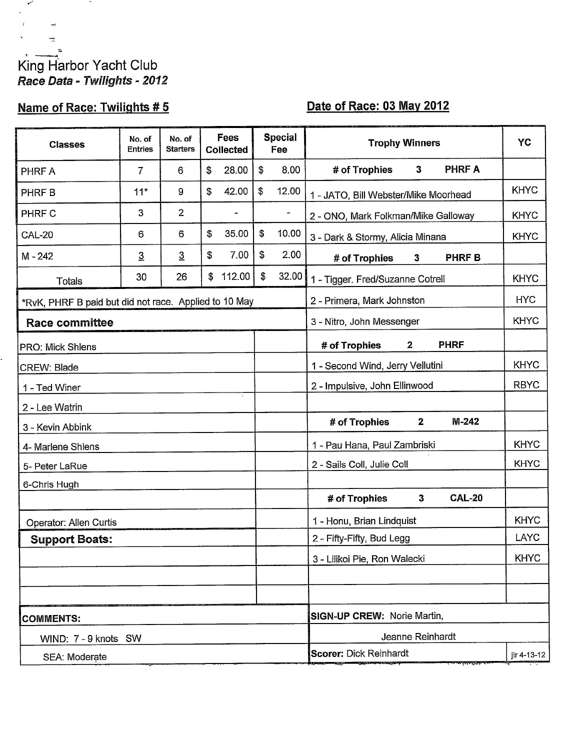## King Harbor Yacht Club Race Data - Twilights - 2012

 $\sim$ 

 $\mathcal{L}_{\mathcal{A}}$ 

# Name of Race: Twilights #5

## Date of Race: 03 May 2012

| <b>Classes</b>                                        | No. of<br><b>Entries</b> | No. of<br><b>Starters</b> | <b>Fees</b><br><b>Collected</b> |        | <b>Special</b><br>Fee |                           | <b>Trophy Winners</b>                          | YC          |  |
|-------------------------------------------------------|--------------------------|---------------------------|---------------------------------|--------|-----------------------|---------------------------|------------------------------------------------|-------------|--|
| <b>PHRFA</b>                                          | 7                        | 6                         | \$                              | 28.00  | \$                    | 8.00                      | # of Trophies<br><b>PHRFA</b><br>$\mathbf{3}$  |             |  |
| PHRF B                                                | $11*$                    | 9                         | \$                              | 42.00  | \$                    | 12.00                     | 1 - JATO, Bill Webster/Mike Moorhead           | <b>KHYC</b> |  |
| PHRF C                                                | 3                        | 2                         |                                 | -      |                       | $\blacksquare$            | 2 - ONO, Mark Folkman/Mike Galloway            | <b>KHYC</b> |  |
| <b>CAL-20</b>                                         | 6                        | 6                         | \$                              | 35.00  | \$                    | 10.00                     | 3 - Dark & Stormy, Alicia Minana               | <b>KHYC</b> |  |
| M-242                                                 | $\overline{3}$           | $\overline{3}$            | \$                              | 7.00   | \$                    | 2.00                      | <b>PHRFB</b><br># of Trophies<br>3             |             |  |
| Totals                                                | 30                       | 26                        | S                               | 112.00 | \$                    | 32.00                     | 1 - Tigger. Fred/Suzanne Cotrell               | <b>KHYC</b> |  |
| *RvK, PHRF B paid but did not race. Applied to 10 May |                          |                           |                                 |        |                       |                           | <b>HYC</b><br>2 - Primera, Mark Johnston       |             |  |
| <b>Race committee</b>                                 |                          |                           |                                 |        |                       |                           | <b>KHYC</b><br>3 - Nitro, John Messenger       |             |  |
| <b>PRO: Mick Shlens</b>                               |                          |                           |                                 |        |                       |                           | $\mathbf{2}$<br><b>PHRF</b><br># of Trophies   |             |  |
| CREW: Blade                                           |                          |                           |                                 |        |                       |                           | 1 - Second Wind, Jerry Vellutini               | <b>KHYC</b> |  |
| 1 - Ted Winer                                         |                          |                           |                                 |        |                       |                           | 2 - Impulsive, John Ellinwood                  | <b>RBYC</b> |  |
| 2 - Lee Watrin                                        |                          |                           |                                 |        |                       |                           |                                                |             |  |
| 3 - Kevin Abbink                                      |                          |                           |                                 |        |                       |                           | $\mathbf{2}$<br># of Trophies<br>$M-242$       |             |  |
| 4- Marlene Shlens                                     |                          |                           |                                 |        |                       |                           | 1 - Pau Hana, Paul Zambriski                   | <b>KHYC</b> |  |
| 5- Peter LaRue                                        |                          |                           |                                 |        |                       |                           | 2 - Sails Coll, Julie Coll                     | <b>KHYC</b> |  |
| 6-Chris Hugh                                          |                          |                           |                                 |        |                       |                           |                                                |             |  |
|                                                       |                          |                           |                                 |        |                       |                           | $\mathbf{3}$<br><b>CAL-20</b><br># of Trophies |             |  |
| Operator: Allen Curtis                                |                          |                           |                                 |        |                       |                           | 1 - Honu, Brian Lindquist                      | <b>KHYC</b> |  |
| <b>Support Boats:</b>                                 |                          |                           |                                 |        |                       | 2 - Fifty-Fifty, Bud Legg | LAYC                                           |             |  |
|                                                       |                          |                           |                                 |        |                       |                           | 3 - Lilikoi Pie, Ron Walecki                   | <b>KHYC</b> |  |
|                                                       |                          |                           |                                 |        |                       |                           |                                                |             |  |
|                                                       |                          |                           |                                 |        |                       |                           | <b>SIGN-UP CREW: Norie Martin,</b>             |             |  |
| <b>COMMENTS:</b><br>WIND: 7 - 9 knots SW              |                          |                           |                                 |        |                       |                           | Jeanne Reinhardt                               |             |  |
| SEA: Moderate                                         |                          |                           |                                 |        |                       |                           | <b>Scorer: Dick Reinhardt</b><br>jlr 4-13-12   |             |  |